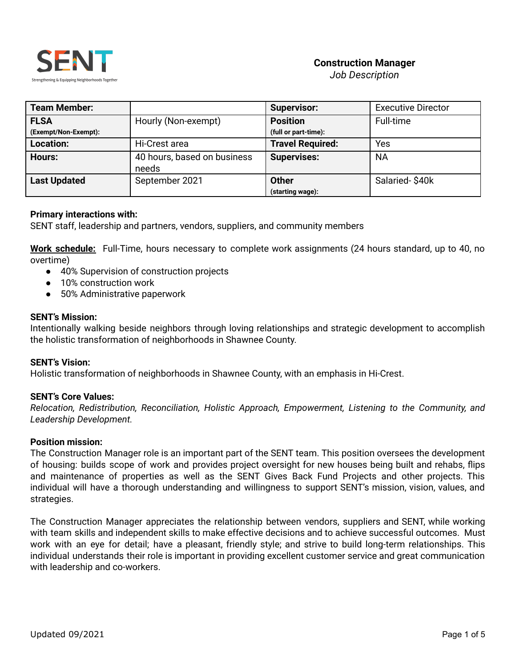

# **Construction Manager**

*Job Description*

| <b>Team Member:</b>  |                             | <b>Supervisor:</b>      | <b>Executive Director</b> |
|----------------------|-----------------------------|-------------------------|---------------------------|
| <b>FLSA</b>          | Hourly (Non-exempt)         | <b>Position</b>         | Full-time                 |
| (Exempt/Non-Exempt): |                             | (full or part-time):    |                           |
| Location:            | Hi-Crest area               | <b>Travel Required:</b> | Yes                       |
| Hours:               | 40 hours, based on business | <b>Supervises:</b>      | <b>NA</b>                 |
|                      | needs                       |                         |                           |
| <b>Last Updated</b>  | September 2021              | <b>Other</b>            | Salaried-\$40k            |
|                      |                             | (starting wage):        |                           |

# **Primary interactions with:**

SENT staff, leadership and partners, vendors, suppliers, and community members

**Work schedule:** Full-Time, hours necessary to complete work assignments (24 hours standard, up to 40, no overtime)

- 40% Supervision of construction projects
- 10% construction work
- 50% Administrative paperwork

#### **SENT's Mission:**

Intentionally walking beside neighbors through loving relationships and strategic development to accomplish the holistic transformation of neighborhoods in Shawnee County.

#### **SENT's Vision:**

Holistic transformation of neighborhoods in Shawnee County, with an emphasis in Hi-Crest.

#### **SENT's Core Values:**

*Relocation, Redistribution, Reconciliation, Holistic Approach, Empowerment, Listening to the Community, and Leadership Development.*

#### **Position mission:**

The Construction Manager role is an important part of the SENT team. This position oversees the development of housing: builds scope of work and provides project oversight for new houses being built and rehabs, flips and maintenance of properties as well as the SENT Gives Back Fund Projects and other projects. This individual will have a thorough understanding and willingness to support SENT's mission, vision, values, and strategies.

The Construction Manager appreciates the relationship between vendors, suppliers and SENT, while working with team skills and independent skills to make effective decisions and to achieve successful outcomes. Must work with an eye for detail; have a pleasant, friendly style; and strive to build long-term relationships. This individual understands their role is important in providing excellent customer service and great communication with leadership and co-workers.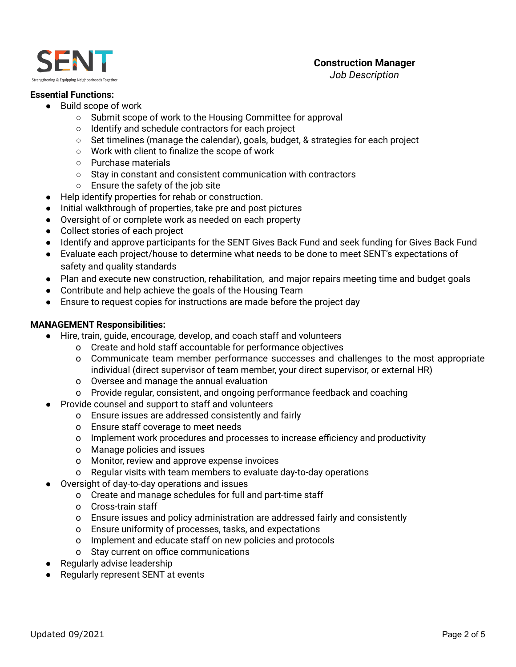

*Job Description*

#### **Essential Functions:**

- Build scope of work
	- Submit scope of work to the Housing Committee for approval
	- Identify and schedule contractors for each project
	- $\circ$  Set timelines (manage the calendar), goals, budget, & strategies for each project
	- Work with client to finalize the scope of work
	- Purchase materials
	- Stay in constant and consistent communication with contractors
	- Ensure the safety of the job site
- Help identify properties for rehab or construction.
- Initial walkthrough of properties, take pre and post pictures
- Oversight of or complete work as needed on each property
- Collect stories of each project
- Identify and approve participants for the SENT Gives Back Fund and seek funding for Gives Back Fund
- Evaluate each project/house to determine what needs to be done to meet SENT's expectations of safety and quality standards
- Plan and execute new construction, rehabilitation, and major repairs meeting time and budget goals
- Contribute and help achieve the goals of the Housing Team
- Ensure to request copies for instructions are made before the project day

# **MANAGEMENT Responsibilities:**

- Hire, train, guide, encourage, develop, and coach staff and volunteers
	- o Create and hold staff accountable for performance objectives
	- o Communicate team member performance successes and challenges to the most appropriate individual (direct supervisor of team member, your direct supervisor, or external HR)
	- o Oversee and manage the annual evaluation
	- o Provide regular, consistent, and ongoing performance feedback and coaching
- Provide counsel and support to staff and volunteers
	- o Ensure issues are addressed consistently and fairly
	- o Ensure staff coverage to meet needs
	- o Implement work procedures and processes to increase efficiency and productivity
	- o Manage policies and issues
	- o Monitor, review and approve expense invoices
	- o Regular visits with team members to evaluate day-to-day operations
- **●** Oversight of day-to-day operations and issues
	- o Create and manage schedules for full and part-time staff
	- o Cross-train staff
	- o Ensure issues and policy administration are addressed fairly and consistently
	- o Ensure uniformity of processes, tasks, and expectations
	- o Implement and educate staff on new policies and protocols
	- o Stay current on office communications
- Regularly advise leadership
- Regularly represent SENT at events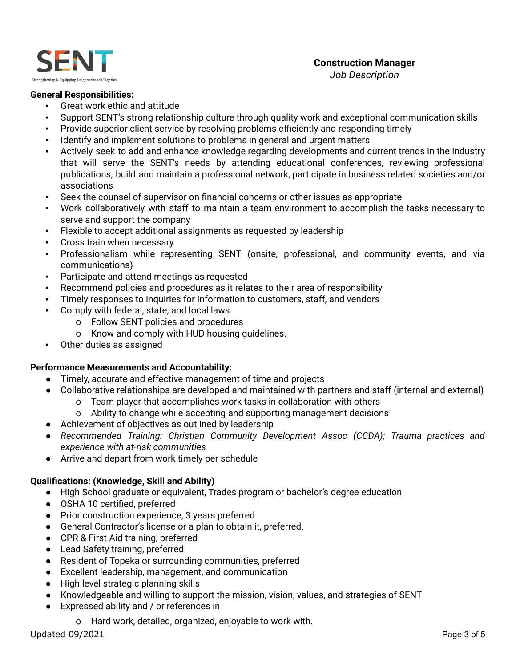

#### **General Responsibilities:**

- Great work ethic and attitude
- Support SENT's strong relationship culture through quality work and exceptional communication skills
- Provide superior client service by resolving problems efficiently and responding timely
- Identify and implement solutions to problems in general and urgent matters
- Actively seek to add and enhance knowledge regarding developments and current trends in the industry that will serve the SENT's needs by attending educational conferences, reviewing professional publications, build and maintain a professional network, participate in business related societies and/or associations
- Seek the counsel of supervisor on financial concerns or other issues as appropriate
- Work collaboratively with staff to maintain a team environment to accomplish the tasks necessary to serve and support the company
- Flexible to accept additional assignments as requested by leadership
- Cross train when necessary
- Professionalism while representing SENT (onsite, professional, and community events, and via communications)
- Participate and attend meetings as requested
- Recommend policies and procedures as it relates to their area of responsibility
- Timely responses to inquiries for information to customers, staff, and vendors
- Comply with federal, state, and local laws
	- o Follow SENT policies and procedures
	- o Know and comply with HUD housing guidelines.
- Other duties as assigned

#### **Performance Measurements and Accountability:**

- Timely, accurate and effective management of time and projects
- Collaborative relationships are developed and maintained with partners and staff (internal and external)
	- o Team player that accomplishes work tasks in collaboration with others
	- o Ability to change while accepting and supporting management decisions
- Achievement of objectives as outlined by leadership
- *Recommended Training: Christian Community Development Assoc (CCDA); Trauma practices and experience with at-risk communities*
- Arrive and depart from work timely per schedule

# **Qualifications: (Knowledge, Skill and Ability)**

- High School graduate or equivalent, Trades program or bachelor's degree education
- OSHA 10 certified, preferred
- Prior construction experience, 3 years preferred
- General Contractor's license or a plan to obtain it, preferred.
- CPR & First Aid training, preferred
- Lead Safety training, preferred
- Resident of Topeka or surrounding communities, preferred
- Excellent leadership, management, and communication
- High level strategic planning skills
- Knowledgeable and willing to support the mission, vision, values, and strategies of SENT
- Expressed ability and / or references in
	- o Hard work, detailed, organized, enjoyable to work with.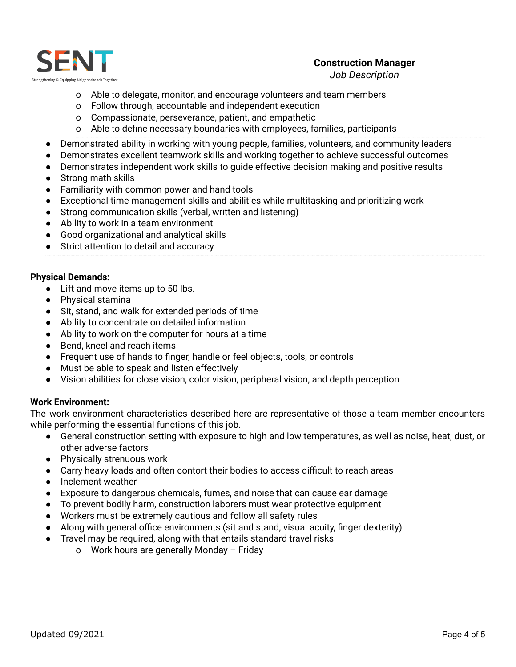

# **Construction Manager**

*Job Description*

- o Able to delegate, monitor, and encourage volunteers and team members
- o Follow through, accountable and independent execution
- o Compassionate, perseverance, patient, and empathetic
- o Able to define necessary boundaries with employees, families, participants
- Demonstrated ability in working with young people, families, volunteers, and community leaders
- Demonstrates excellent teamwork skills and working together to achieve successful outcomes
- Demonstrates independent work skills to guide effective decision making and positive results
- Strong math skills
- Familiarity with common power and hand tools
- Exceptional time management skills and abilities while multitasking and prioritizing work
- Strong communication skills (verbal, written and listening)
- Ability to work in a team environment
- Good organizational and analytical skills
- Strict attention to detail and accuracy

# **Physical Demands:**

- Lift and move items up to 50 lbs.
- Physical stamina
- Sit, stand, and walk for extended periods of time
- Ability to concentrate on detailed information
- Ability to work on the computer for hours at a time
- Bend, kneel and reach items
- Frequent use of hands to finger, handle or feel objects, tools, or controls
- Must be able to speak and listen effectively
- Vision abilities for close vision, color vision, peripheral vision, and depth perception

# **Work Environment:**

The work environment characteristics described here are representative of those a team member encounters while performing the essential functions of this job.

- General construction setting with exposure to high and low temperatures, as well as noise, heat, dust, or other adverse factors
- Physically strenuous work
- Carry heavy loads and often contort their bodies to access difficult to reach areas
- Inclement weather
- Exposure to dangerous chemicals, fumes, and noise that can cause ear damage
- To prevent bodily harm, construction laborers must wear protective equipment
- Workers must be extremely cautious and follow all safety rules
- Along with general office environments (sit and stand; visual acuity, finger dexterity)
- Travel may be required, along with that entails standard travel risks
	- o Work hours are generally Monday Friday